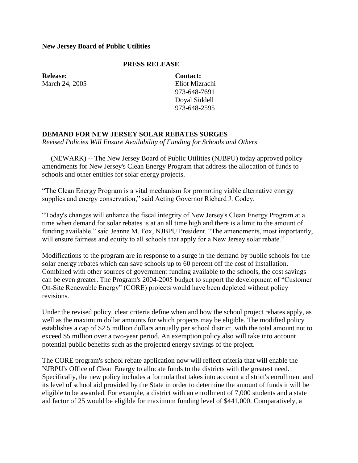## **New Jersey Board of Public Utilities**

## **PRESS RELEASE**

**Release:** March 24, 2005 **Contact:** Eliot Mizrachi 973-648-7691 Doyal Siddell 973-648-2595

## **DEMAND FOR NEW JERSEY SOLAR REBATES SURGES**

*Revised Policies Will Ensure Availability of Funding for Schools and Others*

 (NEWARK) -- The New Jersey Board of Public Utilities (NJBPU) today approved policy amendments for New Jersey's Clean Energy Program that address the allocation of funds to schools and other entities for solar energy projects.

"The Clean Energy Program is a vital mechanism for promoting viable alternative energy supplies and energy conservation," said Acting Governor Richard J. Codey.

"Today's changes will enhance the fiscal integrity of New Jersey's Clean Energy Program at a time when demand for solar rebates is at an all time high and there is a limit to the amount of funding available." said Jeanne M. Fox, NJBPU President. "The amendments, most importantly, will ensure fairness and equity to all schools that apply for a New Jersey solar rebate."

Modifications to the program are in response to a surge in the demand by public schools for the solar energy rebates which can save schools up to 60 percent off the cost of installation. Combined with other sources of government funding available to the schools, the cost savings can be even greater. The Program's 2004-2005 budget to support the development of "Customer On-Site Renewable Energy" (CORE) projects would have been depleted without policy revisions.

Under the revised policy, clear criteria define when and how the school project rebates apply, as well as the maximum dollar amounts for which projects may be eligible. The modified policy establishes a cap of \$2.5 million dollars annually per school district, with the total amount not to exceed \$5 million over a two-year period. An exemption policy also will take into account potential public benefits such as the projected energy savings of the project.

The CORE program's school rebate application now will reflect criteria that will enable the NJBPU's Office of Clean Energy to allocate funds to the districts with the greatest need. Specifically, the new policy includes a formula that takes into account a district's enrollment and its level of school aid provided by the State in order to determine the amount of funds it will be eligible to be awarded. For example, a district with an enrollment of 7,000 students and a state aid factor of 25 would be eligible for maximum funding level of \$441,000. Comparatively, a